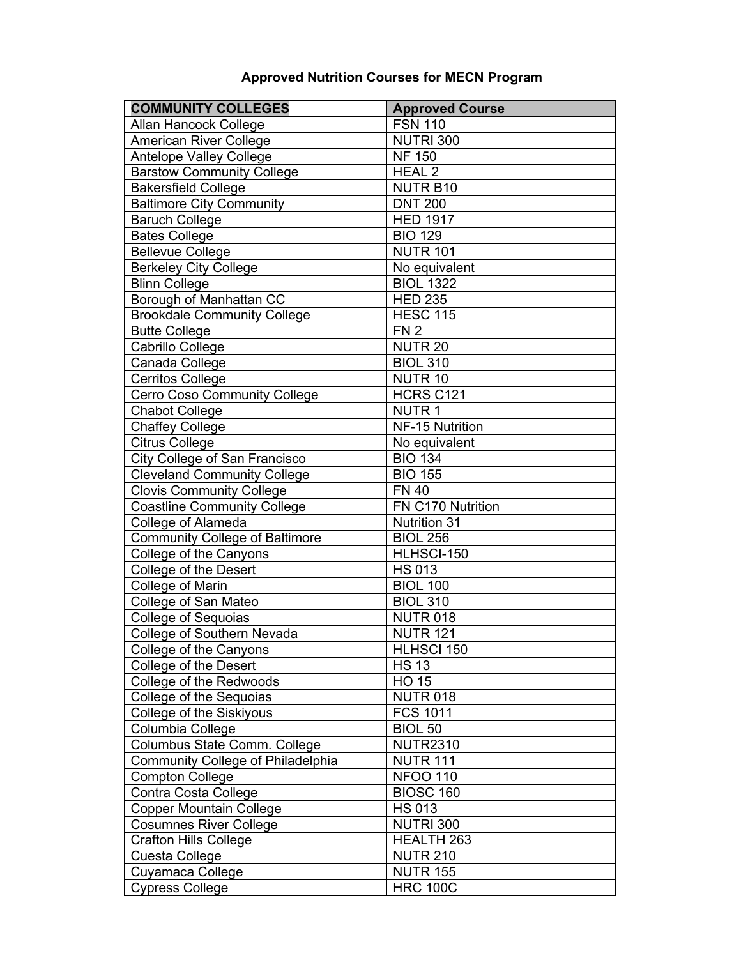## **Approved Nutrition Courses for MECN Program**

| <b>COMMUNITY COLLEGES</b>             | <b>Approved Course</b> |
|---------------------------------------|------------------------|
| Allan Hancock College                 | <b>FSN 110</b>         |
| <b>American River College</b>         | <b>NUTRI 300</b>       |
| <b>Antelope Valley College</b>        | <b>NF 150</b>          |
| <b>Barstow Community College</b>      | <b>HEAL 2</b>          |
| <b>Bakersfield College</b>            | <b>NUTR B10</b>        |
| <b>Baltimore City Community</b>       | <b>DNT 200</b>         |
| <b>Baruch College</b>                 | <b>HED 1917</b>        |
| <b>Bates College</b>                  | <b>BIO 129</b>         |
| <b>Bellevue College</b>               | <b>NUTR 101</b>        |
| <b>Berkeley City College</b>          | No equivalent          |
| <b>Blinn College</b>                  | <b>BIOL 1322</b>       |
| Borough of Manhattan CC               | <b>HED 235</b>         |
| <b>Brookdale Community College</b>    | <b>HESC 115</b>        |
| <b>Butte College</b>                  | FN <sub>2</sub>        |
| Cabrillo College                      | <b>NUTR 20</b>         |
| Canada College                        | <b>BIOL 310</b>        |
| <b>Cerritos College</b>               | NUTR <sub>10</sub>     |
| <b>Cerro Coso Community College</b>   | HCRS C121              |
| <b>Chabot College</b>                 | <b>NUTR1</b>           |
| <b>Chaffey College</b>                | NF-15 Nutrition        |
| <b>Citrus College</b>                 | No equivalent          |
| City College of San Francisco         | $BIO$ 134              |
| <b>Cleveland Community College</b>    | <b>BIO 155</b>         |
| <b>Clovis Community College</b>       | <b>FN 40</b>           |
| <b>Coastline Community College</b>    | FN C170 Nutrition      |
| College of Alameda                    | <b>Nutrition 31</b>    |
| <b>Community College of Baltimore</b> | <b>BIOL 256</b>        |
| College of the Canyons                | HLHSCI-150             |
| College of the Desert                 | <b>HS 013</b>          |
| College of Marin                      | <b>BIOL 100</b>        |
| College of San Mateo                  | <b>BIOL 310</b>        |
| <b>College of Sequoias</b>            | <b>NUTR 018</b>        |
| College of Southern Nevada            | <b>NUTR 121</b>        |
| College of the Canyons                | <b>HLHSCI 150</b>      |
| College of the Desert                 | <b>HS 13</b>           |
| College of the Redwoods               | $HO$ 15                |
| College of the Sequoias               | <b>NUTR 018</b>        |
| College of the Siskiyous              | <b>FCS 1011</b>        |
| Columbia College                      | <b>BIOL 50</b>         |
| Columbus State Comm. College          | <b>NUTR2310</b>        |
| Community College of Philadelphia     | <b>NUTR 111</b>        |
| <b>Compton College</b>                | <b>NFOO 110</b>        |
| Contra Costa College                  | <b>BIOSC 160</b>       |
| <b>Copper Mountain College</b>        | <b>HS 013</b>          |
| <b>Cosumnes River College</b>         | <b>NUTRI 300</b>       |
| Crafton Hills College                 | HEALTH 263             |
| Cuesta College                        | <b>NUTR 210</b>        |
| Cuyamaca College                      | <b>NUTR 155</b>        |
| <b>Cypress College</b>                | <b>HRC 100C</b>        |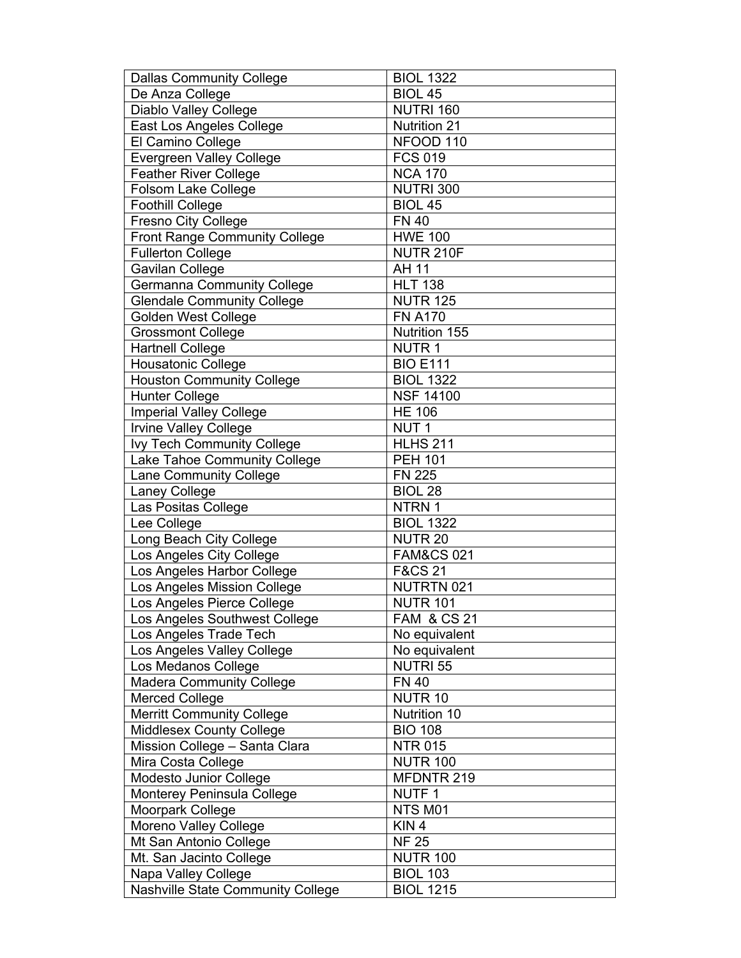| <b>Dallas Community College</b>          | <b>BIOL 1322</b>       |
|------------------------------------------|------------------------|
| De Anza College                          | <b>BIOL 45</b>         |
| <b>Diablo Valley College</b>             | <b>NUTRI 160</b>       |
| East Los Angeles College                 | <b>Nutrition 21</b>    |
| El Camino College                        | NFOOD 110              |
| <b>Evergreen Valley College</b>          | <b>FCS 019</b>         |
| <b>Feather River College</b>             | <b>NCA 170</b>         |
| Folsom Lake College                      | <b>NUTRI 300</b>       |
| <b>Foothill College</b>                  | <b>BIOL 45</b>         |
| <b>Fresno City College</b>               | <b>FN 40</b>           |
| <b>Front Range Community College</b>     | <b>HWE 100</b>         |
| <b>Fullerton College</b>                 | <b>NUTR 210F</b>       |
| Gavilan College                          | AH 11                  |
| <b>Germanna Community College</b>        | <b>HLT 138</b>         |
| <b>Glendale Community College</b>        | <b>NUTR 125</b>        |
| Golden West College                      | <b>FN A170</b>         |
| <b>Grossmont College</b>                 | Nutrition 155          |
| <b>Hartnell College</b>                  | <b>NUTR1</b>           |
| <b>Housatonic College</b>                | <b>BIO E111</b>        |
| <b>Houston Community College</b>         | <b>BIOL 1322</b>       |
| <b>Hunter College</b>                    | <b>NSF 14100</b>       |
| <b>Imperial Valley College</b>           | <b>HE 106</b>          |
| <b>Irvine Valley College</b>             | NUT <sub>1</sub>       |
| <b>Ivy Tech Community College</b>        | <b>HLHS 211</b>        |
| Lake Tahoe Community College             | <b>PEH 101</b>         |
| Lane Community College                   | <b>FN 225</b>          |
| Laney College                            | BIOL 28                |
| Las Positas College                      | NTRN 1                 |
| Lee College                              | <b>BIOL 1322</b>       |
| Long Beach City College                  | NUTR <sub>20</sub>     |
| Los Angeles City College                 | <b>FAM&amp;CS 021</b>  |
| Los Angeles Harbor College               | F&CS 21                |
| Los Angeles Mission College              | <b>NUTRTN 021</b>      |
| Los Angeles Pierce College               | <b>NUTR 101</b>        |
| Los Angeles Southwest College            | <b>FAM &amp; CS 21</b> |
| Los Angeles Trade Tech                   | No equivalent          |
| Los Angeles Valley College               | No equivalent          |
| Los Medanos College                      | <b>NUTRI 55</b>        |
| <b>Madera Community College</b>          | <b>FN 40</b>           |
| Merced College                           | NUTR <sub>10</sub>     |
| <b>Merritt Community College</b>         | Nutrition 10           |
| Middlesex County College                 | <b>BIO 108</b>         |
| Mission College - Santa Clara            | <b>NTR 015</b>         |
| Mira Costa College                       | <b>NUTR 100</b>        |
| Modesto Junior College                   | MFDNTR 219             |
| Monterey Peninsula College               | <b>NUTF1</b>           |
| Moorpark College                         | NTS M01                |
| Moreno Valley College                    | KIN <sub>4</sub>       |
| Mt San Antonio College                   | <b>NF 25</b>           |
| Mt. San Jacinto College                  | <b>NUTR 100</b>        |
| Napa Valley College                      | <b>BIOL 103</b>        |
| <b>Nashville State Community College</b> | <b>BIOL 1215</b>       |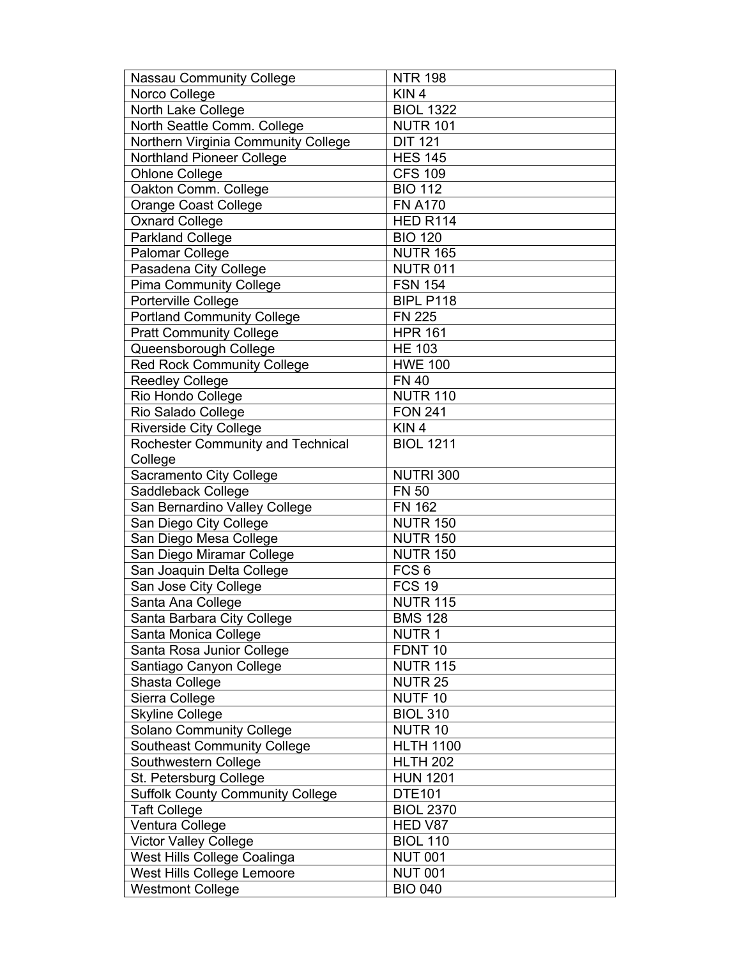| <b>Nassau Community College</b>         | <b>NTR 198</b>     |
|-----------------------------------------|--------------------|
| Norco College                           | KIN <sub>4</sub>   |
| North Lake College                      | <b>BIOL 1322</b>   |
| North Seattle Comm. College             | <b>NUTR 101</b>    |
| Northern Virginia Community College     | <b>DIT 121</b>     |
| Northland Pioneer College               | <b>HES 145</b>     |
| Ohlone College                          | <b>CFS 109</b>     |
| Oakton Comm. College                    | <b>BIO 112</b>     |
| <b>Orange Coast College</b>             | <b>FN A170</b>     |
| <b>Oxnard College</b>                   | <b>HED R114</b>    |
| Parkland College                        | <b>BIO 120</b>     |
| Palomar College                         | <b>NUTR 165</b>    |
| Pasadena City College                   | <b>NUTR 011</b>    |
| <b>Pima Community College</b>           | <b>FSN 154</b>     |
| Porterville College                     | BIPL P118          |
| <b>Portland Community College</b>       | <b>FN 225</b>      |
| <b>Pratt Community College</b>          | <b>HPR 161</b>     |
| Queensborough College                   | <b>HE 103</b>      |
| <b>Red Rock Community College</b>       | <b>HWE 100</b>     |
| <b>Reedley College</b>                  | <b>FN 40</b>       |
| Rio Hondo College                       | <b>NUTR 110</b>    |
| Rio Salado College                      | <b>FON 241</b>     |
| <b>Riverside City College</b>           | KIN <sub>4</sub>   |
| Rochester Community and Technical       | <b>BIOL 1211</b>   |
| College                                 |                    |
| Sacramento City College                 | <b>NUTRI 300</b>   |
| Saddleback College                      | <b>FN 50</b>       |
| San Bernardino Valley College           | <b>FN 162</b>      |
| San Diego City College                  | <b>NUTR 150</b>    |
| San Diego Mesa College                  | <b>NUTR 150</b>    |
| San Diego Miramar College               | <b>NUTR 150</b>    |
| San Joaquin Delta College               | FCS <sub>6</sub>   |
| San Jose City College                   | <b>FCS 19</b>      |
| Santa Ana College                       | <b>NUTR 115</b>    |
| Santa Barbara City College              | <b>BMS 128</b>     |
| Santa Monica College                    | <b>NUTR1</b>       |
| Santa Rosa Junior College               | FDNT <sub>10</sub> |
| Santiago Canyon College                 | <b>NUTR 115</b>    |
| Shasta College                          | <b>NUTR 25</b>     |
| Sierra College                          | NUTF <sub>10</sub> |
| <b>Skyline College</b>                  | <b>BIOL 310</b>    |
| Solano Community College                | NUTR <sub>10</sub> |
| <b>Southeast Community College</b>      | <b>HLTH 1100</b>   |
| Southwestern College                    | <b>HLTH 202</b>    |
| St. Petersburg College                  | <b>HUN 1201</b>    |
| <b>Suffolk County Community College</b> | <b>DTE101</b>      |
| <b>Taft College</b>                     | <b>BIOL 2370</b>   |
| Ventura College                         | HED V87            |
| <b>Victor Valley College</b>            | <b>BIOL 110</b>    |
| West Hills College Coalinga             | <b>NUT 001</b>     |
| West Hills College Lemoore              | <b>NUT 001</b>     |
| <b>Westmont College</b>                 | <b>BIO 040</b>     |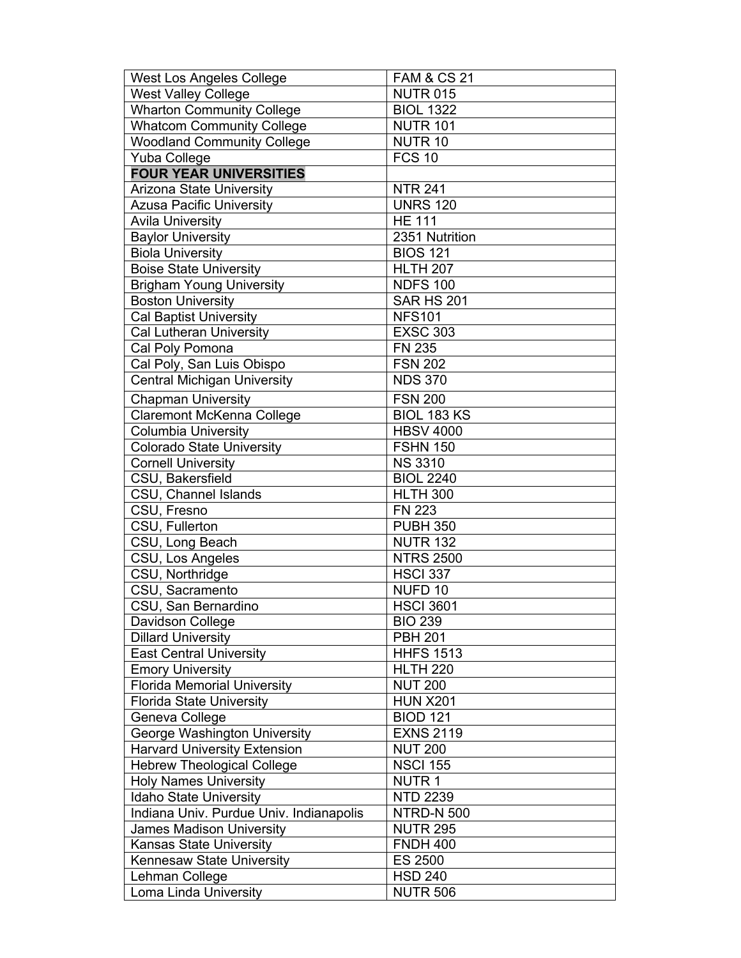| West Los Angeles College                | <b>FAM &amp; CS 21</b> |
|-----------------------------------------|------------------------|
| <b>West Valley College</b>              | <b>NUTR 015</b>        |
| <b>Wharton Community College</b>        | <b>BIOL 1322</b>       |
| <b>Whatcom Community College</b>        | <b>NUTR 101</b>        |
| <b>Woodland Community College</b>       | NUTR <sub>10</sub>     |
| Yuba College                            | <b>FCS 10</b>          |
| <b>FOUR YEAR UNIVERSITIES</b>           |                        |
| <b>Arizona State University</b>         | <b>NTR 241</b>         |
| <b>Azusa Pacific University</b>         | <b>UNRS 120</b>        |
| <b>Avila University</b>                 | <b>HE 111</b>          |
| <b>Baylor University</b>                | 2351 Nutrition         |
| <b>Biola University</b>                 | <b>BIOS 121</b>        |
| <b>Boise State University</b>           | <b>HLTH 207</b>        |
| <b>Brigham Young University</b>         | <b>NDFS 100</b>        |
| <b>Boston University</b>                | <b>SAR HS 201</b>      |
| <b>Cal Baptist University</b>           | <b>NFS101</b>          |
| <b>Cal Lutheran University</b>          | <b>EXSC 303</b>        |
| Cal Poly Pomona                         | <b>FN 235</b>          |
| Cal Poly, San Luis Obispo               | <b>FSN 202</b>         |
| <b>Central Michigan University</b>      | <b>NDS 370</b>         |
| <b>Chapman University</b>               | <b>FSN 200</b>         |
| Claremont McKenna College               | <b>BIOL 183 KS</b>     |
| Columbia University                     | <b>HBSV 4000</b>       |
| <b>Colorado State University</b>        | <b>FSHN 150</b>        |
| <b>Cornell University</b>               | <b>NS 3310</b>         |
| CSU, Bakersfield                        | <b>BIOL 2240</b>       |
| CSU, Channel Islands                    | <b>HLTH 300</b>        |
| CSU, Fresno                             | <b>FN 223</b>          |
| CSU, Fullerton                          | <b>PUBH 350</b>        |
| CSU, Long Beach                         | <b>NUTR 132</b>        |
| CSU, Los Angeles                        | <b>NTRS 2500</b>       |
| CSU, Northridge                         | <b>HSCI 337</b>        |
| CSU, Sacramento                         | NUFD <sub>10</sub>     |
| CSU, San Bernardino                     | <b>HSCI 3601</b>       |
| Davidson College                        | <b>BIO 239</b>         |
| <b>Dillard University</b>               | <b>PBH 201</b>         |
| <b>East Central University</b>          | <b>HHFS 1513</b>       |
| <b>Emory University</b>                 | <b>HLTH 220</b>        |
| <b>Florida Memorial University</b>      | <b>NUT 200</b>         |
| <b>Florida State University</b>         | <b>HUN X201</b>        |
| Geneva College                          | <b>BIOD 121</b>        |
| George Washington University            | <b>EXNS 2119</b>       |
| <b>Harvard University Extension</b>     | <b>NUT 200</b>         |
| <b>Hebrew Theological College</b>       | <b>NSCI 155</b>        |
| <b>Holy Names University</b>            | <b>NUTR1</b>           |
| <b>Idaho State University</b>           | <b>NTD 2239</b>        |
| Indiana Univ. Purdue Univ. Indianapolis | <b>NTRD-N 500</b>      |
| <b>James Madison University</b>         | <b>NUTR 295</b>        |
| <b>Kansas State University</b>          | <b>FNDH 400</b>        |
| Kennesaw State University               |                        |
|                                         | <b>ES 2500</b>         |
| Lehman College                          | <b>HSD 240</b>         |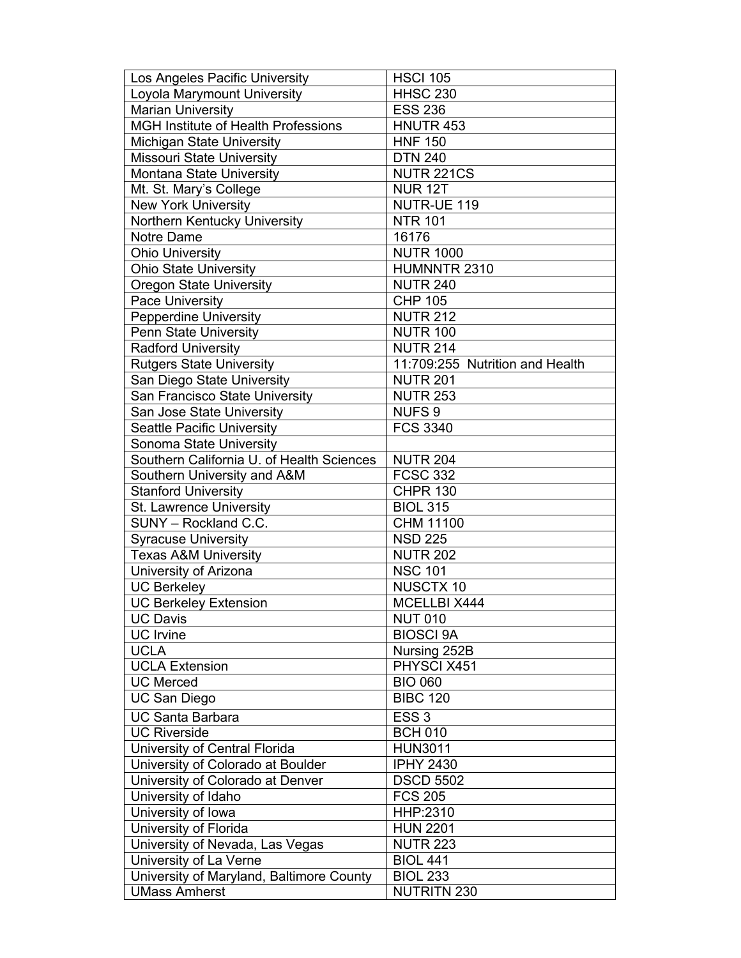| Loyola Marymount University<br><b>HHSC 230</b><br><b>Marian University</b><br><b>ESS 236</b><br><b>MGH Institute of Health Professions</b><br>HNUTR 453<br><b>HNF 150</b><br><b>Michigan State University</b><br><b>DTN 240</b><br><b>Missouri State University</b><br>Montana State University<br><b>NUTR 221CS</b><br><b>NUR 12T</b><br>Mt. St. Mary's College<br><b>New York University</b><br>NUTR-UE 119<br>Northern Kentucky University<br><b>NTR 101</b><br>Notre Dame<br>16176<br><b>NUTR 1000</b><br><b>Ohio University</b><br>Ohio State University<br>HUMNNTR 2310<br><b>Oregon State University</b><br><b>NUTR 240</b><br>Pace University<br><b>CHP 105</b><br><b>Pepperdine University</b><br><b>NUTR 212</b><br><b>NUTR 100</b><br>Penn State University<br><b>Radford University</b><br><b>NUTR 214</b><br>11:709:255 Nutrition and Health<br><b>Rutgers State University</b><br>San Diego State University<br><b>NUTR 201</b><br>San Francisco State University<br><b>NUTR 253</b><br>San Jose State University<br><b>NUFS 9</b><br><b>FCS 3340</b><br><b>Seattle Pacific University</b><br>Sonoma State University<br>Southern California U. of Health Sciences<br><b>NUTR 204</b><br><b>FCSC 332</b><br>Southern University and A&M<br><b>Stanford University</b><br><b>CHPR 130</b><br>St. Lawrence University<br><b>BIOL 315</b><br>SUNY - Rockland C.C.<br>CHM 11100<br><b>Syracuse University</b><br><b>NSD 225</b><br><b>NUTR 202</b><br><b>Texas A&amp;M University</b><br>University of Arizona<br><b>NSC 101</b><br><b>UC Berkeley</b><br><b>NUSCTX 10</b><br><b>UC Berkeley Extension</b><br>MCELLBI X444<br>UC Davis<br><b>NUT 010</b><br><b>BIOSCI 9A</b><br><b>UC</b> Irvine<br><b>UCLA</b><br>Nursing 252B<br>PHYSCI X451<br><b>UCLA Extension</b><br><b>UC Merced</b><br><b>BIO 060</b><br><b>UC San Diego</b><br><b>BIBC 120</b><br>ESS <sub>3</sub><br><b>UC Santa Barbara</b><br><b>UC Riverside</b><br><b>BCH 010</b><br>University of Central Florida<br><b>HUN3011</b><br>University of Colorado at Boulder<br><b>IPHY 2430</b> | Los Angeles Pacific University   | <b>HSCI 105</b>  |
|-----------------------------------------------------------------------------------------------------------------------------------------------------------------------------------------------------------------------------------------------------------------------------------------------------------------------------------------------------------------------------------------------------------------------------------------------------------------------------------------------------------------------------------------------------------------------------------------------------------------------------------------------------------------------------------------------------------------------------------------------------------------------------------------------------------------------------------------------------------------------------------------------------------------------------------------------------------------------------------------------------------------------------------------------------------------------------------------------------------------------------------------------------------------------------------------------------------------------------------------------------------------------------------------------------------------------------------------------------------------------------------------------------------------------------------------------------------------------------------------------------------------------------------------------------------------------------------------------------------------------------------------------------------------------------------------------------------------------------------------------------------------------------------------------------------------------------------------------------------------------------------------------------------------------------------------------------------------------------------------------------------------------------------------------------------------------|----------------------------------|------------------|
|                                                                                                                                                                                                                                                                                                                                                                                                                                                                                                                                                                                                                                                                                                                                                                                                                                                                                                                                                                                                                                                                                                                                                                                                                                                                                                                                                                                                                                                                                                                                                                                                                                                                                                                                                                                                                                                                                                                                                                                                                                                                       |                                  |                  |
|                                                                                                                                                                                                                                                                                                                                                                                                                                                                                                                                                                                                                                                                                                                                                                                                                                                                                                                                                                                                                                                                                                                                                                                                                                                                                                                                                                                                                                                                                                                                                                                                                                                                                                                                                                                                                                                                                                                                                                                                                                                                       |                                  |                  |
|                                                                                                                                                                                                                                                                                                                                                                                                                                                                                                                                                                                                                                                                                                                                                                                                                                                                                                                                                                                                                                                                                                                                                                                                                                                                                                                                                                                                                                                                                                                                                                                                                                                                                                                                                                                                                                                                                                                                                                                                                                                                       |                                  |                  |
|                                                                                                                                                                                                                                                                                                                                                                                                                                                                                                                                                                                                                                                                                                                                                                                                                                                                                                                                                                                                                                                                                                                                                                                                                                                                                                                                                                                                                                                                                                                                                                                                                                                                                                                                                                                                                                                                                                                                                                                                                                                                       |                                  |                  |
|                                                                                                                                                                                                                                                                                                                                                                                                                                                                                                                                                                                                                                                                                                                                                                                                                                                                                                                                                                                                                                                                                                                                                                                                                                                                                                                                                                                                                                                                                                                                                                                                                                                                                                                                                                                                                                                                                                                                                                                                                                                                       |                                  |                  |
|                                                                                                                                                                                                                                                                                                                                                                                                                                                                                                                                                                                                                                                                                                                                                                                                                                                                                                                                                                                                                                                                                                                                                                                                                                                                                                                                                                                                                                                                                                                                                                                                                                                                                                                                                                                                                                                                                                                                                                                                                                                                       |                                  |                  |
|                                                                                                                                                                                                                                                                                                                                                                                                                                                                                                                                                                                                                                                                                                                                                                                                                                                                                                                                                                                                                                                                                                                                                                                                                                                                                                                                                                                                                                                                                                                                                                                                                                                                                                                                                                                                                                                                                                                                                                                                                                                                       |                                  |                  |
|                                                                                                                                                                                                                                                                                                                                                                                                                                                                                                                                                                                                                                                                                                                                                                                                                                                                                                                                                                                                                                                                                                                                                                                                                                                                                                                                                                                                                                                                                                                                                                                                                                                                                                                                                                                                                                                                                                                                                                                                                                                                       |                                  |                  |
|                                                                                                                                                                                                                                                                                                                                                                                                                                                                                                                                                                                                                                                                                                                                                                                                                                                                                                                                                                                                                                                                                                                                                                                                                                                                                                                                                                                                                                                                                                                                                                                                                                                                                                                                                                                                                                                                                                                                                                                                                                                                       |                                  |                  |
|                                                                                                                                                                                                                                                                                                                                                                                                                                                                                                                                                                                                                                                                                                                                                                                                                                                                                                                                                                                                                                                                                                                                                                                                                                                                                                                                                                                                                                                                                                                                                                                                                                                                                                                                                                                                                                                                                                                                                                                                                                                                       |                                  |                  |
|                                                                                                                                                                                                                                                                                                                                                                                                                                                                                                                                                                                                                                                                                                                                                                                                                                                                                                                                                                                                                                                                                                                                                                                                                                                                                                                                                                                                                                                                                                                                                                                                                                                                                                                                                                                                                                                                                                                                                                                                                                                                       |                                  |                  |
|                                                                                                                                                                                                                                                                                                                                                                                                                                                                                                                                                                                                                                                                                                                                                                                                                                                                                                                                                                                                                                                                                                                                                                                                                                                                                                                                                                                                                                                                                                                                                                                                                                                                                                                                                                                                                                                                                                                                                                                                                                                                       |                                  |                  |
|                                                                                                                                                                                                                                                                                                                                                                                                                                                                                                                                                                                                                                                                                                                                                                                                                                                                                                                                                                                                                                                                                                                                                                                                                                                                                                                                                                                                                                                                                                                                                                                                                                                                                                                                                                                                                                                                                                                                                                                                                                                                       |                                  |                  |
|                                                                                                                                                                                                                                                                                                                                                                                                                                                                                                                                                                                                                                                                                                                                                                                                                                                                                                                                                                                                                                                                                                                                                                                                                                                                                                                                                                                                                                                                                                                                                                                                                                                                                                                                                                                                                                                                                                                                                                                                                                                                       |                                  |                  |
|                                                                                                                                                                                                                                                                                                                                                                                                                                                                                                                                                                                                                                                                                                                                                                                                                                                                                                                                                                                                                                                                                                                                                                                                                                                                                                                                                                                                                                                                                                                                                                                                                                                                                                                                                                                                                                                                                                                                                                                                                                                                       |                                  |                  |
|                                                                                                                                                                                                                                                                                                                                                                                                                                                                                                                                                                                                                                                                                                                                                                                                                                                                                                                                                                                                                                                                                                                                                                                                                                                                                                                                                                                                                                                                                                                                                                                                                                                                                                                                                                                                                                                                                                                                                                                                                                                                       |                                  |                  |
|                                                                                                                                                                                                                                                                                                                                                                                                                                                                                                                                                                                                                                                                                                                                                                                                                                                                                                                                                                                                                                                                                                                                                                                                                                                                                                                                                                                                                                                                                                                                                                                                                                                                                                                                                                                                                                                                                                                                                                                                                                                                       |                                  |                  |
|                                                                                                                                                                                                                                                                                                                                                                                                                                                                                                                                                                                                                                                                                                                                                                                                                                                                                                                                                                                                                                                                                                                                                                                                                                                                                                                                                                                                                                                                                                                                                                                                                                                                                                                                                                                                                                                                                                                                                                                                                                                                       |                                  |                  |
|                                                                                                                                                                                                                                                                                                                                                                                                                                                                                                                                                                                                                                                                                                                                                                                                                                                                                                                                                                                                                                                                                                                                                                                                                                                                                                                                                                                                                                                                                                                                                                                                                                                                                                                                                                                                                                                                                                                                                                                                                                                                       |                                  |                  |
|                                                                                                                                                                                                                                                                                                                                                                                                                                                                                                                                                                                                                                                                                                                                                                                                                                                                                                                                                                                                                                                                                                                                                                                                                                                                                                                                                                                                                                                                                                                                                                                                                                                                                                                                                                                                                                                                                                                                                                                                                                                                       |                                  |                  |
|                                                                                                                                                                                                                                                                                                                                                                                                                                                                                                                                                                                                                                                                                                                                                                                                                                                                                                                                                                                                                                                                                                                                                                                                                                                                                                                                                                                                                                                                                                                                                                                                                                                                                                                                                                                                                                                                                                                                                                                                                                                                       |                                  |                  |
|                                                                                                                                                                                                                                                                                                                                                                                                                                                                                                                                                                                                                                                                                                                                                                                                                                                                                                                                                                                                                                                                                                                                                                                                                                                                                                                                                                                                                                                                                                                                                                                                                                                                                                                                                                                                                                                                                                                                                                                                                                                                       |                                  |                  |
|                                                                                                                                                                                                                                                                                                                                                                                                                                                                                                                                                                                                                                                                                                                                                                                                                                                                                                                                                                                                                                                                                                                                                                                                                                                                                                                                                                                                                                                                                                                                                                                                                                                                                                                                                                                                                                                                                                                                                                                                                                                                       |                                  |                  |
|                                                                                                                                                                                                                                                                                                                                                                                                                                                                                                                                                                                                                                                                                                                                                                                                                                                                                                                                                                                                                                                                                                                                                                                                                                                                                                                                                                                                                                                                                                                                                                                                                                                                                                                                                                                                                                                                                                                                                                                                                                                                       |                                  |                  |
|                                                                                                                                                                                                                                                                                                                                                                                                                                                                                                                                                                                                                                                                                                                                                                                                                                                                                                                                                                                                                                                                                                                                                                                                                                                                                                                                                                                                                                                                                                                                                                                                                                                                                                                                                                                                                                                                                                                                                                                                                                                                       |                                  |                  |
|                                                                                                                                                                                                                                                                                                                                                                                                                                                                                                                                                                                                                                                                                                                                                                                                                                                                                                                                                                                                                                                                                                                                                                                                                                                                                                                                                                                                                                                                                                                                                                                                                                                                                                                                                                                                                                                                                                                                                                                                                                                                       |                                  |                  |
|                                                                                                                                                                                                                                                                                                                                                                                                                                                                                                                                                                                                                                                                                                                                                                                                                                                                                                                                                                                                                                                                                                                                                                                                                                                                                                                                                                                                                                                                                                                                                                                                                                                                                                                                                                                                                                                                                                                                                                                                                                                                       |                                  |                  |
|                                                                                                                                                                                                                                                                                                                                                                                                                                                                                                                                                                                                                                                                                                                                                                                                                                                                                                                                                                                                                                                                                                                                                                                                                                                                                                                                                                                                                                                                                                                                                                                                                                                                                                                                                                                                                                                                                                                                                                                                                                                                       |                                  |                  |
|                                                                                                                                                                                                                                                                                                                                                                                                                                                                                                                                                                                                                                                                                                                                                                                                                                                                                                                                                                                                                                                                                                                                                                                                                                                                                                                                                                                                                                                                                                                                                                                                                                                                                                                                                                                                                                                                                                                                                                                                                                                                       |                                  |                  |
|                                                                                                                                                                                                                                                                                                                                                                                                                                                                                                                                                                                                                                                                                                                                                                                                                                                                                                                                                                                                                                                                                                                                                                                                                                                                                                                                                                                                                                                                                                                                                                                                                                                                                                                                                                                                                                                                                                                                                                                                                                                                       |                                  |                  |
|                                                                                                                                                                                                                                                                                                                                                                                                                                                                                                                                                                                                                                                                                                                                                                                                                                                                                                                                                                                                                                                                                                                                                                                                                                                                                                                                                                                                                                                                                                                                                                                                                                                                                                                                                                                                                                                                                                                                                                                                                                                                       |                                  |                  |
|                                                                                                                                                                                                                                                                                                                                                                                                                                                                                                                                                                                                                                                                                                                                                                                                                                                                                                                                                                                                                                                                                                                                                                                                                                                                                                                                                                                                                                                                                                                                                                                                                                                                                                                                                                                                                                                                                                                                                                                                                                                                       |                                  |                  |
|                                                                                                                                                                                                                                                                                                                                                                                                                                                                                                                                                                                                                                                                                                                                                                                                                                                                                                                                                                                                                                                                                                                                                                                                                                                                                                                                                                                                                                                                                                                                                                                                                                                                                                                                                                                                                                                                                                                                                                                                                                                                       |                                  |                  |
|                                                                                                                                                                                                                                                                                                                                                                                                                                                                                                                                                                                                                                                                                                                                                                                                                                                                                                                                                                                                                                                                                                                                                                                                                                                                                                                                                                                                                                                                                                                                                                                                                                                                                                                                                                                                                                                                                                                                                                                                                                                                       |                                  |                  |
|                                                                                                                                                                                                                                                                                                                                                                                                                                                                                                                                                                                                                                                                                                                                                                                                                                                                                                                                                                                                                                                                                                                                                                                                                                                                                                                                                                                                                                                                                                                                                                                                                                                                                                                                                                                                                                                                                                                                                                                                                                                                       |                                  |                  |
|                                                                                                                                                                                                                                                                                                                                                                                                                                                                                                                                                                                                                                                                                                                                                                                                                                                                                                                                                                                                                                                                                                                                                                                                                                                                                                                                                                                                                                                                                                                                                                                                                                                                                                                                                                                                                                                                                                                                                                                                                                                                       |                                  |                  |
|                                                                                                                                                                                                                                                                                                                                                                                                                                                                                                                                                                                                                                                                                                                                                                                                                                                                                                                                                                                                                                                                                                                                                                                                                                                                                                                                                                                                                                                                                                                                                                                                                                                                                                                                                                                                                                                                                                                                                                                                                                                                       |                                  |                  |
|                                                                                                                                                                                                                                                                                                                                                                                                                                                                                                                                                                                                                                                                                                                                                                                                                                                                                                                                                                                                                                                                                                                                                                                                                                                                                                                                                                                                                                                                                                                                                                                                                                                                                                                                                                                                                                                                                                                                                                                                                                                                       |                                  |                  |
|                                                                                                                                                                                                                                                                                                                                                                                                                                                                                                                                                                                                                                                                                                                                                                                                                                                                                                                                                                                                                                                                                                                                                                                                                                                                                                                                                                                                                                                                                                                                                                                                                                                                                                                                                                                                                                                                                                                                                                                                                                                                       |                                  |                  |
|                                                                                                                                                                                                                                                                                                                                                                                                                                                                                                                                                                                                                                                                                                                                                                                                                                                                                                                                                                                                                                                                                                                                                                                                                                                                                                                                                                                                                                                                                                                                                                                                                                                                                                                                                                                                                                                                                                                                                                                                                                                                       |                                  |                  |
|                                                                                                                                                                                                                                                                                                                                                                                                                                                                                                                                                                                                                                                                                                                                                                                                                                                                                                                                                                                                                                                                                                                                                                                                                                                                                                                                                                                                                                                                                                                                                                                                                                                                                                                                                                                                                                                                                                                                                                                                                                                                       |                                  |                  |
|                                                                                                                                                                                                                                                                                                                                                                                                                                                                                                                                                                                                                                                                                                                                                                                                                                                                                                                                                                                                                                                                                                                                                                                                                                                                                                                                                                                                                                                                                                                                                                                                                                                                                                                                                                                                                                                                                                                                                                                                                                                                       |                                  |                  |
|                                                                                                                                                                                                                                                                                                                                                                                                                                                                                                                                                                                                                                                                                                                                                                                                                                                                                                                                                                                                                                                                                                                                                                                                                                                                                                                                                                                                                                                                                                                                                                                                                                                                                                                                                                                                                                                                                                                                                                                                                                                                       |                                  |                  |
|                                                                                                                                                                                                                                                                                                                                                                                                                                                                                                                                                                                                                                                                                                                                                                                                                                                                                                                                                                                                                                                                                                                                                                                                                                                                                                                                                                                                                                                                                                                                                                                                                                                                                                                                                                                                                                                                                                                                                                                                                                                                       | University of Colorado at Denver | <b>DSCD 5502</b> |
| University of Idaho<br><b>FCS 205</b>                                                                                                                                                                                                                                                                                                                                                                                                                                                                                                                                                                                                                                                                                                                                                                                                                                                                                                                                                                                                                                                                                                                                                                                                                                                                                                                                                                                                                                                                                                                                                                                                                                                                                                                                                                                                                                                                                                                                                                                                                                 |                                  |                  |
| University of Iowa<br>HHP:2310                                                                                                                                                                                                                                                                                                                                                                                                                                                                                                                                                                                                                                                                                                                                                                                                                                                                                                                                                                                                                                                                                                                                                                                                                                                                                                                                                                                                                                                                                                                                                                                                                                                                                                                                                                                                                                                                                                                                                                                                                                        |                                  |                  |
| University of Florida<br><b>HUN 2201</b>                                                                                                                                                                                                                                                                                                                                                                                                                                                                                                                                                                                                                                                                                                                                                                                                                                                                                                                                                                                                                                                                                                                                                                                                                                                                                                                                                                                                                                                                                                                                                                                                                                                                                                                                                                                                                                                                                                                                                                                                                              |                                  |                  |
| University of Nevada, Las Vegas<br><b>NUTR 223</b>                                                                                                                                                                                                                                                                                                                                                                                                                                                                                                                                                                                                                                                                                                                                                                                                                                                                                                                                                                                                                                                                                                                                                                                                                                                                                                                                                                                                                                                                                                                                                                                                                                                                                                                                                                                                                                                                                                                                                                                                                    |                                  |                  |
| University of La Verne<br><b>BIOL 441</b>                                                                                                                                                                                                                                                                                                                                                                                                                                                                                                                                                                                                                                                                                                                                                                                                                                                                                                                                                                                                                                                                                                                                                                                                                                                                                                                                                                                                                                                                                                                                                                                                                                                                                                                                                                                                                                                                                                                                                                                                                             |                                  |                  |
| <b>BIOL 233</b><br>University of Maryland, Baltimore County                                                                                                                                                                                                                                                                                                                                                                                                                                                                                                                                                                                                                                                                                                                                                                                                                                                                                                                                                                                                                                                                                                                                                                                                                                                                                                                                                                                                                                                                                                                                                                                                                                                                                                                                                                                                                                                                                                                                                                                                           |                                  |                  |
| <b>UMass Amherst</b><br><b>NUTRITN 230</b>                                                                                                                                                                                                                                                                                                                                                                                                                                                                                                                                                                                                                                                                                                                                                                                                                                                                                                                                                                                                                                                                                                                                                                                                                                                                                                                                                                                                                                                                                                                                                                                                                                                                                                                                                                                                                                                                                                                                                                                                                            |                                  |                  |